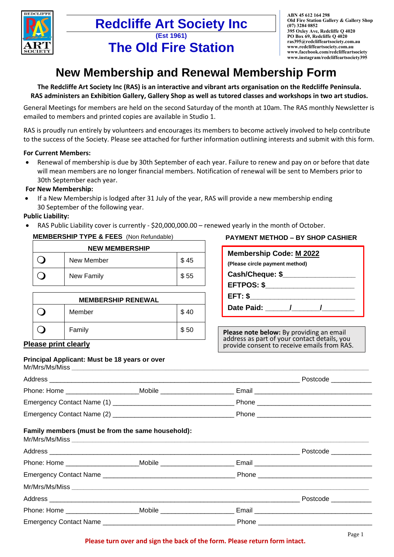

## **Redcliffe Art Society Inc (Est 1961) The Old Fire Station**

**ABN 45 612 164 298 Old Fire Station Gallery & Gallery Shop (07) 3284 0852 395 Oxley Ave, Redcliffe Q 4020 PO Box 69, Redcliffe Q 4020 [ras395@redcliffeartsociety.com.au](mailto:ras395@redcliffeartsociety.com.au) [www.redcliffeartsociety.com.au](http://www.redcliffeartsociety.com.au/) [www.facebook.com/redcliffeartsociety](http://www.facebook.com/redcliffeartsociety) [www.instagram/redcliffeartsociety395](http://www.instagram/redcliffeartsociety395)**

# **New Membership and Renewal Membership Form**

**The Redcliffe Art Society Inc (RAS) is an interactive and vibrant arts organisation on the Redcliffe Peninsula. RAS administers an Exhibition Gallery, Gallery Shop as well as tutored classes and workshops in two art studios.**

General Meetings for members are held on the second Saturday of the month at 10am. The RAS monthly Newsletter is emailed to members and printed copies are available in Studio 1.

RAS is proudly run entirely by volunteers and encourages its members to become actively involved to help contribute to the success of the Society. Please see attached for further information outlining interests and submit with this form.

### **For Current Members:**

• Renewal of membership is due by 30th September of each year. Failure to renew and pay on or before that date will mean members are no longer financial members. Notification of renewal will be sent to Members prior to 30th September each year.

### **For New Membership:**

• If a New Membership is lodged after 31 July of the year, RAS will provide a new membership ending 30 September of the following year.

### **Public Liability:**

RAS Public Liability cover is currently - \$20,000,000.00 – renewed yearly in the month of October.

## **MEMBERSHIP TYPE & FEES** (Non Refundable)

| <b>NEW MEMBERSHIP</b> |            |      |  |
|-----------------------|------------|------|--|
|                       | New Member | \$45 |  |
|                       | New Family | \$55 |  |

| <b>MEMBERSHIP RENEWAL</b> |        |      |  |
|---------------------------|--------|------|--|
|                           | Member | \$40 |  |
|                           | Family | \$50 |  |

## **PAYMENT METHOD – BY SHOP CASHIER**

| Membership Code: M 2022        |
|--------------------------------|
| (Please circle payment method) |
| Cash/Cheque: \$                |
| <b>EFTPOS: \$</b>              |
| EFT: \$                        |
| Date Paid: 1                   |
|                                |

**Please note below:** By providing an email address as part of your contact details, you provide consent to receive emails from RAS.

## **Please print clearly**

#### **Principal Applicant: Must be 18 years or over**

| Mr/Mrs/Ms/Miss                 |                                                                  |                        |          |
|--------------------------------|------------------------------------------------------------------|------------------------|----------|
| Address                        |                                                                  |                        | Postcode |
| Phone: Home __________________ | Mobile<br><u> 1980 - Jan Stein Harry Harry Harry Harry Harry</u> | Email                  |          |
|                                |                                                                  | Phone ________________ |          |
|                                |                                                                  |                        |          |

## **Family members (must be from the same household):**

|                                                                                  |  | Postcode ____________ |
|----------------------------------------------------------------------------------|--|-----------------------|
| Phone: Home __________________________________Mobile ___________________________ |  |                       |
| Emergency Contact Name                                                           |  |                       |
|                                                                                  |  |                       |
|                                                                                  |  | Postcode ____________ |
| Phone: Home Mobile Mobile                                                        |  |                       |
|                                                                                  |  |                       |

#### **Please turn over and sign the back of the form. Please return form intact.**